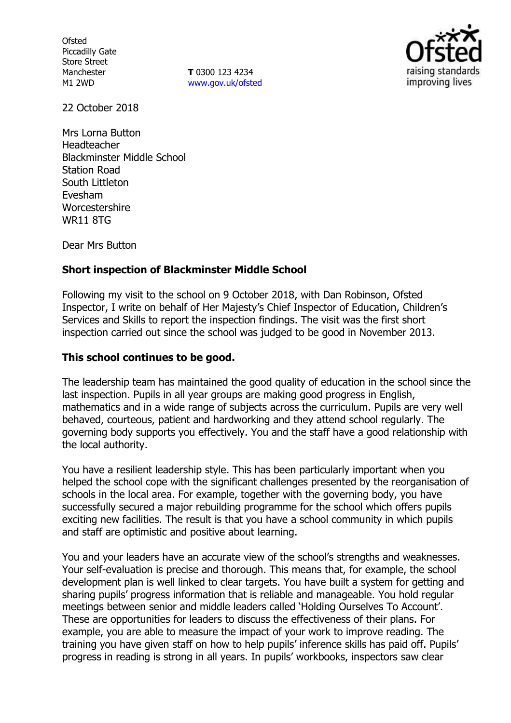**Ofsted** Piccadilly Gate Store Street Manchester M1 2WD

**T** 0300 123 4234 www.gov.uk/ofsted



22 October 2018

Mrs Lorna Button Headteacher Blackminster Middle School Station Road South Littleton Evesham Worcestershire WR11 8TG

Dear Mrs Button

# **Short inspection of Blackminster Middle School**

Following my visit to the school on 9 October 2018, with Dan Robinson, Ofsted Inspector, I write on behalf of Her Majesty's Chief Inspector of Education, Children's Services and Skills to report the inspection findings. The visit was the first short inspection carried out since the school was judged to be good in November 2013.

### **This school continues to be good.**

The leadership team has maintained the good quality of education in the school since the last inspection. Pupils in all year groups are making good progress in English, mathematics and in a wide range of subjects across the curriculum. Pupils are very well behaved, courteous, patient and hardworking and they attend school regularly. The governing body supports you effectively. You and the staff have a good relationship with the local authority.

You have a resilient leadership style. This has been particularly important when you helped the school cope with the significant challenges presented by the reorganisation of schools in the local area. For example, together with the governing body, you have successfully secured a major rebuilding programme for the school which offers pupils exciting new facilities. The result is that you have a school community in which pupils and staff are optimistic and positive about learning.

You and your leaders have an accurate view of the school's strengths and weaknesses. Your self-evaluation is precise and thorough. This means that, for example, the school development plan is well linked to clear targets. You have built a system for getting and sharing pupils' progress information that is reliable and manageable. You hold regular meetings between senior and middle leaders called 'Holding Ourselves To Account'. These are opportunities for leaders to discuss the effectiveness of their plans. For example, you are able to measure the impact of your work to improve reading. The training you have given staff on how to help pupils' inference skills has paid off. Pupils' progress in reading is strong in all years. In pupils' workbooks, inspectors saw clear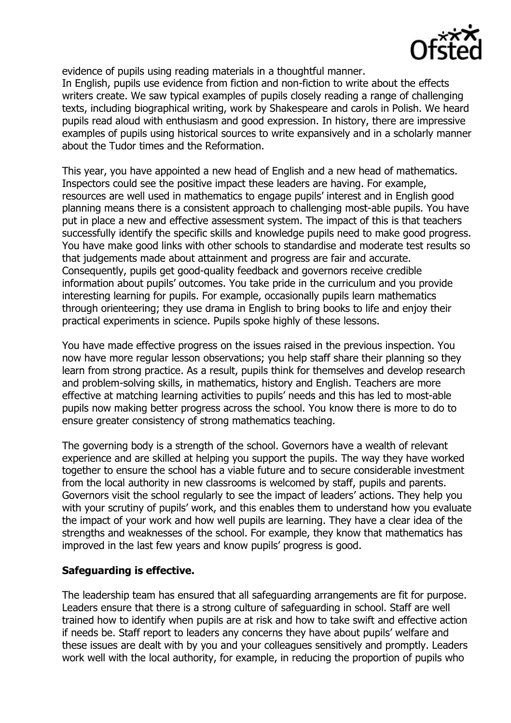

evidence of pupils using reading materials in a thoughtful manner.

In English, pupils use evidence from fiction and non-fiction to write about the effects writers create. We saw typical examples of pupils closely reading a range of challenging texts, including biographical writing, work by Shakespeare and carols in Polish. We heard pupils read aloud with enthusiasm and good expression. In history, there are impressive examples of pupils using historical sources to write expansively and in a scholarly manner about the Tudor times and the Reformation.

This year, you have appointed a new head of English and a new head of mathematics. Inspectors could see the positive impact these leaders are having. For example, resources are well used in mathematics to engage pupils' interest and in English good planning means there is a consistent approach to challenging most-able pupils. You have put in place a new and effective assessment system. The impact of this is that teachers successfully identify the specific skills and knowledge pupils need to make good progress. You have make good links with other schools to standardise and moderate test results so that judgements made about attainment and progress are fair and accurate. Consequently, pupils get good-quality feedback and governors receive credible information about pupils' outcomes. You take pride in the curriculum and you provide interesting learning for pupils. For example, occasionally pupils learn mathematics through orienteering; they use drama in English to bring books to life and enjoy their practical experiments in science. Pupils spoke highly of these lessons.

You have made effective progress on the issues raised in the previous inspection. You now have more regular lesson observations; you help staff share their planning so they learn from strong practice. As a result, pupils think for themselves and develop research and problem-solving skills, in mathematics, history and English. Teachers are more effective at matching learning activities to pupils' needs and this has led to most-able pupils now making better progress across the school. You know there is more to do to ensure greater consistency of strong mathematics teaching.

The governing body is a strength of the school. Governors have a wealth of relevant experience and are skilled at helping you support the pupils. The way they have worked together to ensure the school has a viable future and to secure considerable investment from the local authority in new classrooms is welcomed by staff, pupils and parents. Governors visit the school regularly to see the impact of leaders' actions. They help you with your scrutiny of pupils' work, and this enables them to understand how you evaluate the impact of your work and how well pupils are learning. They have a clear idea of the strengths and weaknesses of the school. For example, they know that mathematics has improved in the last few years and know pupils' progress is good.

# **Safeguarding is effective.**

The leadership team has ensured that all safeguarding arrangements are fit for purpose. Leaders ensure that there is a strong culture of safeguarding in school. Staff are well trained how to identify when pupils are at risk and how to take swift and effective action if needs be. Staff report to leaders any concerns they have about pupils' welfare and these issues are dealt with by you and your colleagues sensitively and promptly. Leaders work well with the local authority, for example, in reducing the proportion of pupils who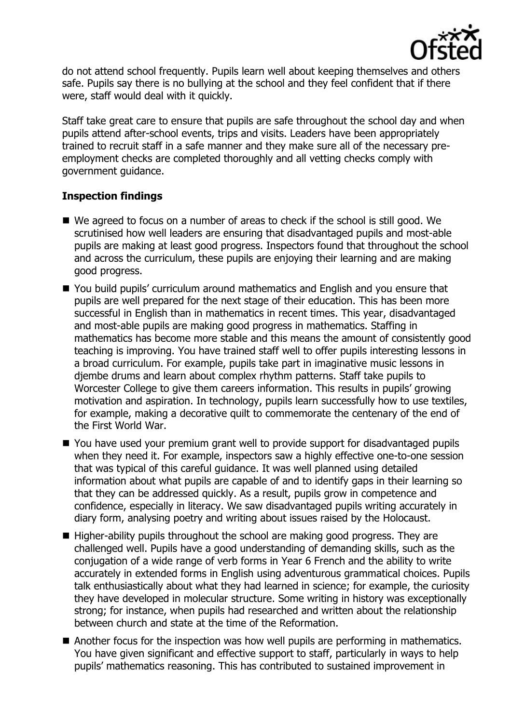

do not attend school frequently. Pupils learn well about keeping themselves and others safe. Pupils say there is no bullying at the school and they feel confident that if there were, staff would deal with it quickly.

Staff take great care to ensure that pupils are safe throughout the school day and when pupils attend after-school events, trips and visits. Leaders have been appropriately trained to recruit staff in a safe manner and they make sure all of the necessary preemployment checks are completed thoroughly and all vetting checks comply with government guidance.

# **Inspection findings**

- We agreed to focus on a number of areas to check if the school is still good. We scrutinised how well leaders are ensuring that disadvantaged pupils and most-able pupils are making at least good progress. Inspectors found that throughout the school and across the curriculum, these pupils are enjoying their learning and are making good progress.
- You build pupils' curriculum around mathematics and English and you ensure that pupils are well prepared for the next stage of their education. This has been more successful in English than in mathematics in recent times. This year, disadvantaged and most-able pupils are making good progress in mathematics. Staffing in mathematics has become more stable and this means the amount of consistently good teaching is improving. You have trained staff well to offer pupils interesting lessons in a broad curriculum. For example, pupils take part in imaginative music lessons in djembe drums and learn about complex rhythm patterns. Staff take pupils to Worcester College to give them careers information. This results in pupils' growing motivation and aspiration. In technology, pupils learn successfully how to use textiles, for example, making a decorative quilt to commemorate the centenary of the end of the First World War.
- You have used your premium grant well to provide support for disadvantaged pupils when they need it. For example, inspectors saw a highly effective one-to-one session that was typical of this careful guidance. It was well planned using detailed information about what pupils are capable of and to identify gaps in their learning so that they can be addressed quickly. As a result, pupils grow in competence and confidence, especially in literacy. We saw disadvantaged pupils writing accurately in diary form, analysing poetry and writing about issues raised by the Holocaust.
- $\blacksquare$  Higher-ability pupils throughout the school are making good progress. They are challenged well. Pupils have a good understanding of demanding skills, such as the conjugation of a wide range of verb forms in Year 6 French and the ability to write accurately in extended forms in English using adventurous grammatical choices. Pupils talk enthusiastically about what they had learned in science; for example, the curiosity they have developed in molecular structure. Some writing in history was exceptionally strong; for instance, when pupils had researched and written about the relationship between church and state at the time of the Reformation.
- Another focus for the inspection was how well pupils are performing in mathematics. You have given significant and effective support to staff, particularly in ways to help pupils' mathematics reasoning. This has contributed to sustained improvement in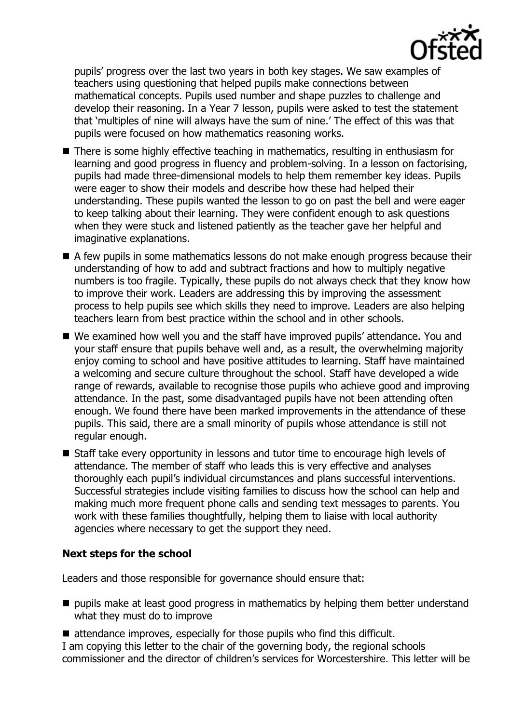

pupils' progress over the last two years in both key stages. We saw examples of teachers using questioning that helped pupils make connections between mathematical concepts. Pupils used number and shape puzzles to challenge and develop their reasoning. In a Year 7 lesson, pupils were asked to test the statement that 'multiples of nine will always have the sum of nine.' The effect of this was that pupils were focused on how mathematics reasoning works.

- There is some highly effective teaching in mathematics, resulting in enthusiasm for learning and good progress in fluency and problem-solving. In a lesson on factorising, pupils had made three-dimensional models to help them remember key ideas. Pupils were eager to show their models and describe how these had helped their understanding. These pupils wanted the lesson to go on past the bell and were eager to keep talking about their learning. They were confident enough to ask questions when they were stuck and listened patiently as the teacher gave her helpful and imaginative explanations.
- A few pupils in some mathematics lessons do not make enough progress because their understanding of how to add and subtract fractions and how to multiply negative numbers is too fragile. Typically, these pupils do not always check that they know how to improve their work. Leaders are addressing this by improving the assessment process to help pupils see which skills they need to improve. Leaders are also helping teachers learn from best practice within the school and in other schools.
- We examined how well you and the staff have improved pupils' attendance. You and your staff ensure that pupils behave well and, as a result, the overwhelming majority enjoy coming to school and have positive attitudes to learning. Staff have maintained a welcoming and secure culture throughout the school. Staff have developed a wide range of rewards, available to recognise those pupils who achieve good and improving attendance. In the past, some disadvantaged pupils have not been attending often enough. We found there have been marked improvements in the attendance of these pupils. This said, there are a small minority of pupils whose attendance is still not regular enough.
- Staff take every opportunity in lessons and tutor time to encourage high levels of attendance. The member of staff who leads this is very effective and analyses thoroughly each pupil's individual circumstances and plans successful interventions. Successful strategies include visiting families to discuss how the school can help and making much more frequent phone calls and sending text messages to parents. You work with these families thoughtfully, helping them to liaise with local authority agencies where necessary to get the support they need.

# **Next steps for the school**

Leaders and those responsible for governance should ensure that:

 $\blacksquare$  pupils make at least good progress in mathematics by helping them better understand what they must do to improve

■ attendance improves, especially for those pupils who find this difficult. I am copying this letter to the chair of the governing body, the regional schools commissioner and the director of children's services for Worcestershire. This letter will be